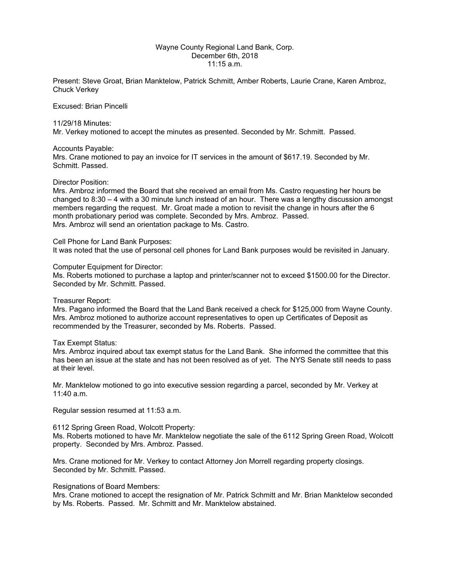## Wayne County Regional Land Bank, Corp. December 6th, 2018 11:15 a.m.

Present: Steve Groat, Brian Manktelow, Patrick Schmitt, Amber Roberts, Laurie Crane, Karen Ambroz, Chuck Verkey

Excused: Brian Pincelli

## 11/29/18 Minutes:

Mr. Verkey motioned to accept the minutes as presented. Seconded by Mr. Schmitt. Passed.

Accounts Payable:

Mrs. Crane motioned to pay an invoice for IT services in the amount of \$617.19. Seconded by Mr. Schmitt. Passed.

## Director Position:

Mrs. Ambroz informed the Board that she received an email from Ms. Castro requesting her hours be changed to 8:30 – 4 with a 30 minute lunch instead of an hour. There was a lengthy discussion amongst members regarding the request. Mr. Groat made a motion to revisit the change in hours after the 6 month probationary period was complete. Seconded by Mrs. Ambroz. Passed. Mrs. Ambroz will send an orientation package to Ms. Castro.

Cell Phone for Land Bank Purposes: It was noted that the use of personal cell phones for Land Bank purposes would be revisited in January.

Computer Equipment for Director:

Ms. Roberts motioned to purchase a laptop and printer/scanner not to exceed \$1500.00 for the Director. Seconded by Mr. Schmitt. Passed.

Treasurer Report:

Mrs. Pagano informed the Board that the Land Bank received a check for \$125,000 from Wayne County. Mrs. Ambroz motioned to authorize account representatives to open up Certificates of Deposit as recommended by the Treasurer, seconded by Ms. Roberts. Passed.

Tax Exempt Status:

Mrs. Ambroz inquired about tax exempt status for the Land Bank. She informed the committee that this has been an issue at the state and has not been resolved as of yet. The NYS Senate still needs to pass at their level.

Mr. Manktelow motioned to go into executive session regarding a parcel, seconded by Mr. Verkey at 11:40 a.m.

Regular session resumed at 11:53 a.m.

6112 Spring Green Road, Wolcott Property:

Ms. Roberts motioned to have Mr. Manktelow negotiate the sale of the 6112 Spring Green Road, Wolcott property. Seconded by Mrs. Ambroz. Passed.

Mrs. Crane motioned for Mr. Verkey to contact Attorney Jon Morrell regarding property closings. Seconded by Mr. Schmitt. Passed.

## Resignations of Board Members:

Mrs. Crane motioned to accept the resignation of Mr. Patrick Schmitt and Mr. Brian Manktelow seconded by Ms. Roberts. Passed. Mr. Schmitt and Mr. Manktelow abstained.